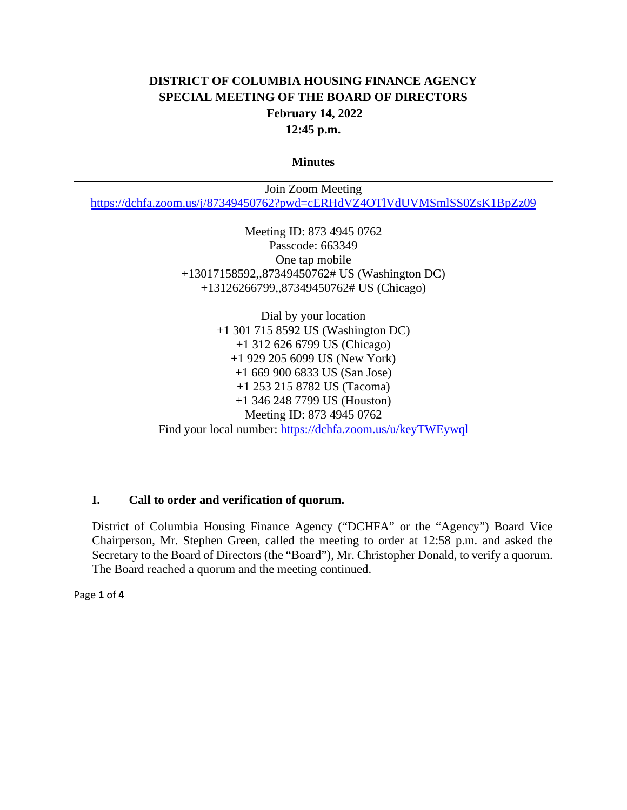## **DISTRICT OF COLUMBIA HOUSING FINANCE AGENCY SPECIAL MEETING OF THE BOARD OF DIRECTORS February 14, 2022 12:45 p.m.**

#### **Minutes**

| Join Zoom Meeting                                                        |
|--------------------------------------------------------------------------|
| https://dchfa.zoom.us/j/87349450762?pwd=cERHdVZ4OTlVdUVMSmlSS0ZsK1BpZz09 |
|                                                                          |
| Meeting ID: 873 4945 0762                                                |
| Passcode: 663349                                                         |
| One tap mobile                                                           |
| $+13017158592$ , 87349450762# US (Washington DC)                         |
| +13126266799,,87349450762# US (Chicago)                                  |
|                                                                          |
| Dial by your location                                                    |
| +1 301 715 8592 US (Washington DC)                                       |
| $+1$ 312 626 6799 US (Chicago)                                           |
| $+1$ 929 205 6099 US (New York)                                          |
| $+16699006833$ US (San Jose)                                             |
| $+1$ 253 215 8782 US (Tacoma)                                            |
| $+1$ 346 248 7799 US (Houston)                                           |
| Meeting ID: 873 4945 0762                                                |
| Find your local number: https://dchfa.zoom.us/u/keyTWEywql               |

### **I. Call to order and verification of quorum.**

District of Columbia Housing Finance Agency ("DCHFA" or the "Agency") Board Vice Chairperson, Mr. Stephen Green, called the meeting to order at 12:58 p.m. and asked the Secretary to the Board of Directors (the "Board"), Mr. Christopher Donald, to verify a quorum. The Board reached a quorum and the meeting continued.

Page **1** of **4**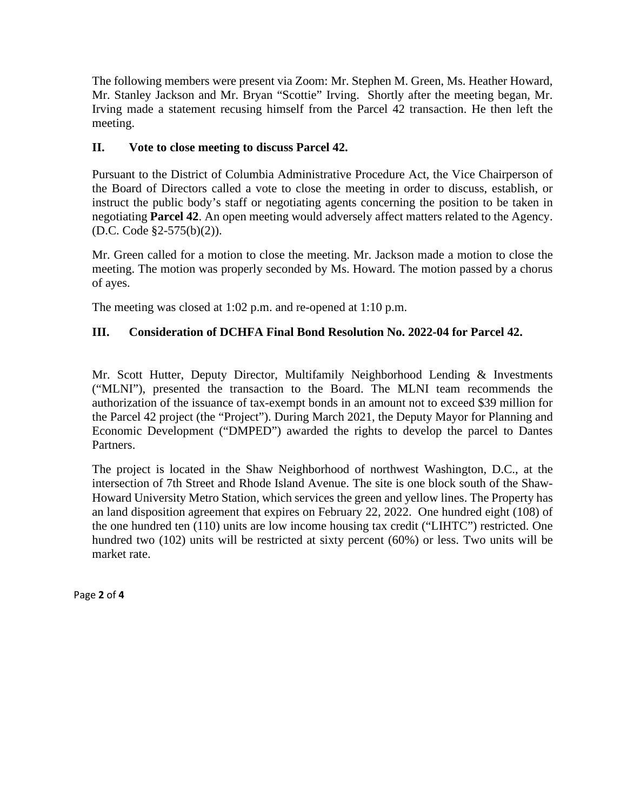The following members were present via Zoom: Mr. Stephen M. Green, Ms. Heather Howard, Mr. Stanley Jackson and Mr. Bryan "Scottie" Irving. Shortly after the meeting began, Mr. Irving made a statement recusing himself from the Parcel 42 transaction. He then left the meeting.

### **II. Vote to close meeting to discuss Parcel 42.**

Pursuant to the District of Columbia Administrative Procedure Act, the Vice Chairperson of the Board of Directors called a vote to close the meeting in order to discuss, establish, or instruct the public body's staff or negotiating agents concerning the position to be taken in negotiating **Parcel 42**. An open meeting would adversely affect matters related to the Agency. (D.C. Code §2-575(b)(2)).

Mr. Green called for a motion to close the meeting. Mr. Jackson made a motion to close the meeting. The motion was properly seconded by Ms. Howard. The motion passed by a chorus of ayes.

The meeting was closed at 1:02 p.m. and re-opened at 1:10 p.m.

## **III. Consideration of DCHFA Final Bond Resolution No. 2022-04 for Parcel 42.**

Mr. Scott Hutter, Deputy Director, Multifamily Neighborhood Lending & Investments ("MLNI"), presented the transaction to the Board. The MLNI team recommends the authorization of the issuance of tax-exempt bonds in an amount not to exceed \$39 million for the Parcel 42 project (the "Project"). During March 2021, the Deputy Mayor for Planning and Economic Development ("DMPED") awarded the rights to develop the parcel to Dantes Partners.

The project is located in the Shaw Neighborhood of northwest Washington, D.C., at the intersection of 7th Street and Rhode Island Avenue. The site is one block south of the Shaw-Howard University Metro Station, which services the green and yellow lines. The Property has an land disposition agreement that expires on February 22, 2022. One hundred eight (108) of the one hundred ten (110) units are low income housing tax credit ("LIHTC") restricted. One hundred two (102) units will be restricted at sixty percent (60%) or less. Two units will be market rate.

Page **2** of **4**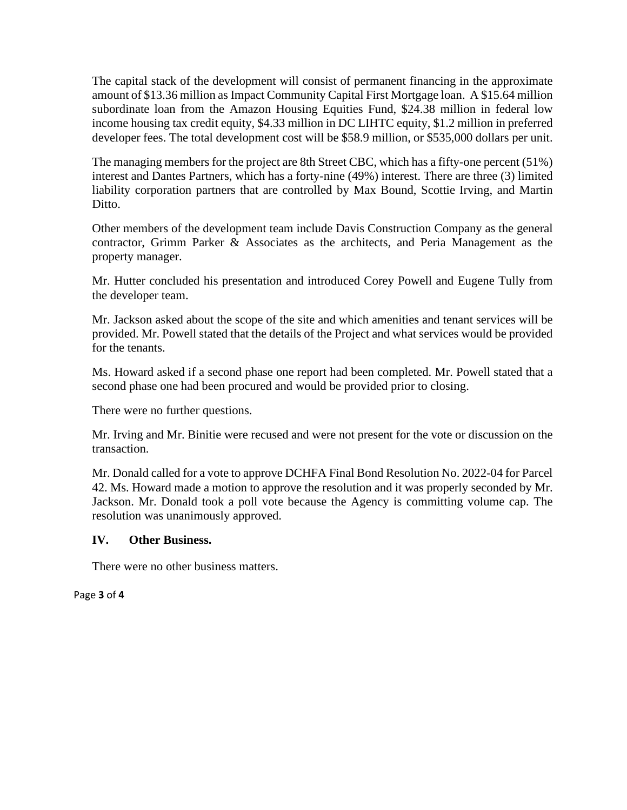The capital stack of the development will consist of permanent financing in the approximate amount of \$13.36 million as Impact Community Capital First Mortgage loan. A \$15.64 million subordinate loan from the Amazon Housing Equities Fund, \$24.38 million in federal low income housing tax credit equity, \$4.33 million in DC LIHTC equity, \$1.2 million in preferred developer fees. The total development cost will be \$58.9 million, or \$535,000 dollars per unit.

The managing members for the project are 8th Street CBC, which has a fifty-one percent (51%) interest and Dantes Partners, which has a forty-nine (49%) interest. There are three (3) limited liability corporation partners that are controlled by Max Bound, Scottie Irving, and Martin Ditto.

Other members of the development team include Davis Construction Company as the general contractor, Grimm Parker & Associates as the architects, and Peria Management as the property manager.

Mr. Hutter concluded his presentation and introduced Corey Powell and Eugene Tully from the developer team.

Mr. Jackson asked about the scope of the site and which amenities and tenant services will be provided. Mr. Powell stated that the details of the Project and what services would be provided for the tenants.

Ms. Howard asked if a second phase one report had been completed. Mr. Powell stated that a second phase one had been procured and would be provided prior to closing.

There were no further questions.

Mr. Irving and Mr. Binitie were recused and were not present for the vote or discussion on the transaction.

Mr. Donald called for a vote to approve DCHFA Final Bond Resolution No. 2022-04 for Parcel 42. Ms. Howard made a motion to approve the resolution and it was properly seconded by Mr. Jackson. Mr. Donald took a poll vote because the Agency is committing volume cap. The resolution was unanimously approved.

### **IV. Other Business.**

There were no other business matters.

Page **3** of **4**